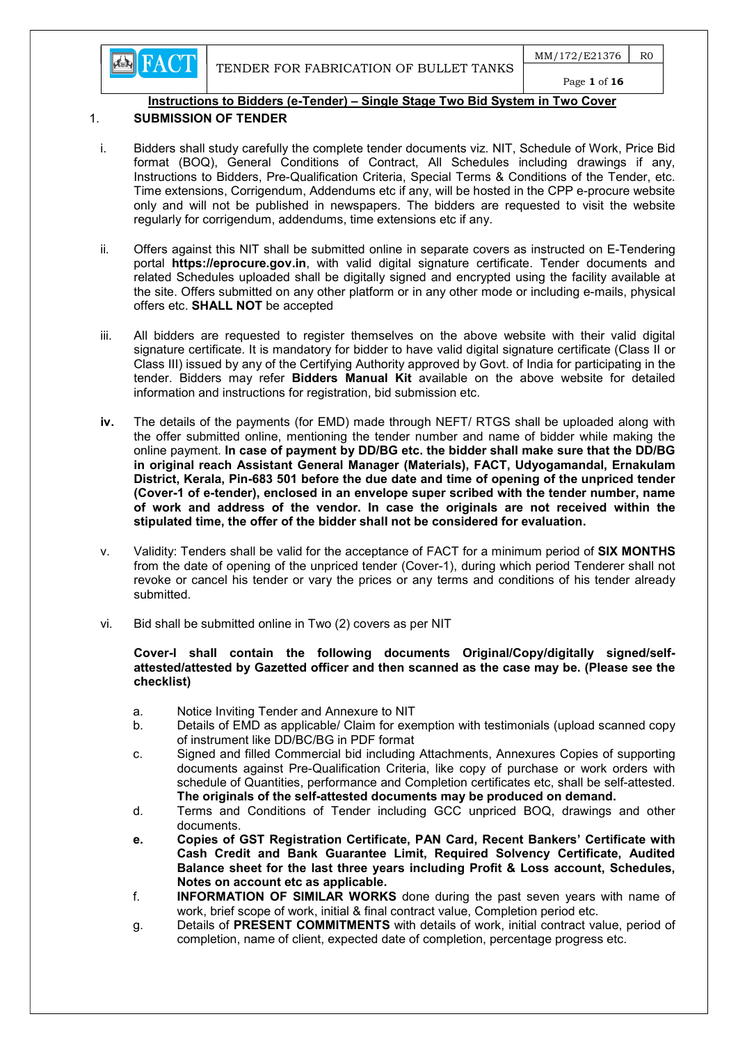**EN FACT** 

# Instructions to Bidders (e-Tender) – Single Stage Two Bid System in Two Cover

# 1. SUBMISSION OF TENDER

- i. Bidders shall study carefully the complete tender documents viz. NIT, Schedule of Work, Price Bid format (BOQ), General Conditions of Contract, All Schedules including drawings if any, Instructions to Bidders, Pre-Qualification Criteria, Special Terms & Conditions of the Tender, etc. Time extensions, Corrigendum, Addendums etc if any, will be hosted in the CPP e-procure website only and will not be published in newspapers. The bidders are requested to visit the website regularly for corrigendum, addendums, time extensions etc if any.
- ii. Offers against this NIT shall be submitted online in separate covers as instructed on E-Tendering portal https://eprocure.gov.in, with valid digital signature certificate. Tender documents and related Schedules uploaded shall be digitally signed and encrypted using the facility available at the site. Offers submitted on any other platform or in any other mode or including e-mails, physical offers etc. SHALL NOT be accepted
- iii. All bidders are requested to register themselves on the above website with their valid digital signature certificate. It is mandatory for bidder to have valid digital signature certificate (Class II or Class III) issued by any of the Certifying Authority approved by Govt. of India for participating in the tender. Bidders may refer **Bidders Manual Kit** available on the above website for detailed information and instructions for registration, bid submission etc.
- iv. The details of the payments (for EMD) made through NEFT/ RTGS shall be uploaded along with the offer submitted online, mentioning the tender number and name of bidder while making the online payment. In case of payment by DD/BG etc. the bidder shall make sure that the DD/BG in original reach Assistant General Manager (Materials), FACT, Udyogamandal, Ernakulam District, Kerala, Pin-683 501 before the due date and time of opening of the unpriced tender (Cover-1 of e-tender), enclosed in an envelope super scribed with the tender number, name of work and address of the vendor. In case the originals are not received within the stipulated time, the offer of the bidder shall not be considered for evaluation.
- v. Validity: Tenders shall be valid for the acceptance of FACT for a minimum period of SIX MONTHS from the date of opening of the unpriced tender (Cover-1), during which period Tenderer shall not revoke or cancel his tender or vary the prices or any terms and conditions of his tender already submitted.
- vi. Bid shall be submitted online in Two (2) covers as per NIT

#### Cover-I shall contain the following documents Original/Copy/digitally signed/selfattested/attested by Gazetted officer and then scanned as the case may be. (Please see the checklist)

- a. Notice Inviting Tender and Annexure to NIT
- b. Details of EMD as applicable/ Claim for exemption with testimonials (upload scanned copy of instrument like DD/BC/BG in PDF format
- c. Signed and filled Commercial bid including Attachments, Annexures Copies of supporting documents against Pre-Qualification Criteria, like copy of purchase or work orders with schedule of Quantities, performance and Completion certificates etc, shall be self-attested. The originals of the self-attested documents may be produced on demand.
- d. Terms and Conditions of Tender including GCC unpriced BOQ, drawings and other documents.
- e. Copies of GST Registration Certificate, PAN Card, Recent Bankers' Certificate with Cash Credit and Bank Guarantee Limit, Required Solvency Certificate, Audited Balance sheet for the last three years including Profit & Loss account, Schedules, Notes on account etc as applicable.
- f. INFORMATION OF SIMILAR WORKS done during the past seven years with name of work, brief scope of work, initial & final contract value, Completion period etc.
- g. Details of PRESENT COMMITMENTS with details of work, initial contract value, period of completion, name of client, expected date of completion, percentage progress etc.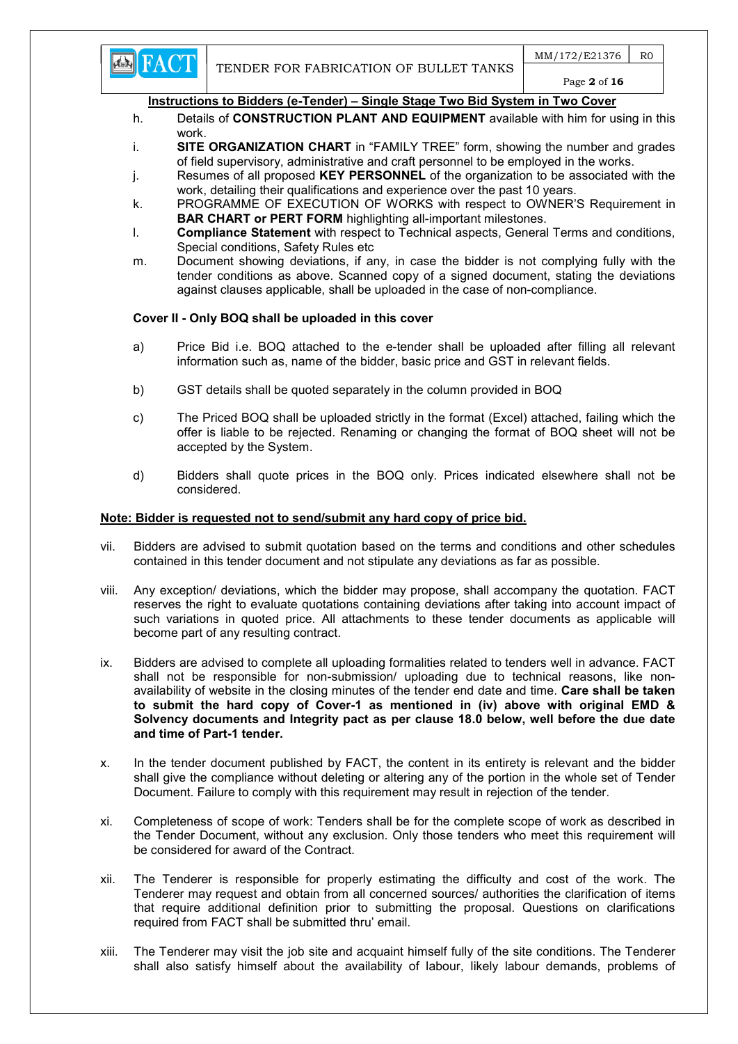

Page 2 of 16

# Instructions to Bidders (e-Tender) – Single Stage Two Bid System in Two Cover

- h. Details of **CONSTRUCTION PLANT AND EQUIPMENT** available with him for using in this work.
- i. SITE ORGANIZATION CHART in "FAMILY TREE" form, showing the number and grades of field supervisory, administrative and craft personnel to be employed in the works.
- j. Resumes of all proposed KEY PERSONNEL of the organization to be associated with the work, detailing their qualifications and experience over the past 10 years.
- k. PROGRAMME OF EXECUTION OF WORKS with respect to OWNER'S Requirement in BAR CHART or PERT FORM highlighting all-important milestones.
- l. Compliance Statement with respect to Technical aspects, General Terms and conditions, Special conditions, Safety Rules etc
- m. Document showing deviations, if any, in case the bidder is not complying fully with the tender conditions as above. Scanned copy of a signed document, stating the deviations against clauses applicable, shall be uploaded in the case of non-compliance.

# Cover II - Only BOQ shall be uploaded in this cover

- a) Price Bid i.e. BOQ attached to the e-tender shall be uploaded after filling all relevant information such as, name of the bidder, basic price and GST in relevant fields.
- b) GST details shall be quoted separately in the column provided in BOQ
- c) The Priced BOQ shall be uploaded strictly in the format (Excel) attached, failing which the offer is liable to be rejected. Renaming or changing the format of BOQ sheet will not be accepted by the System.
- d) Bidders shall quote prices in the BOQ only. Prices indicated elsewhere shall not be considered.

#### Note: Bidder is requested not to send/submit any hard copy of price bid.

- vii. Bidders are advised to submit quotation based on the terms and conditions and other schedules contained in this tender document and not stipulate any deviations as far as possible.
- viii. Any exception/ deviations, which the bidder may propose, shall accompany the quotation. FACT reserves the right to evaluate quotations containing deviations after taking into account impact of such variations in quoted price. All attachments to these tender documents as applicable will become part of any resulting contract.
- ix. Bidders are advised to complete all uploading formalities related to tenders well in advance. FACT shall not be responsible for non-submission/ uploading due to technical reasons, like nonavailability of website in the closing minutes of the tender end date and time. Care shall be taken to submit the hard copy of Cover-1 as mentioned in (iv) above with original EMD & Solvency documents and Integrity pact as per clause 18.0 below, well before the due date and time of Part-1 tender.
- x. In the tender document published by FACT, the content in its entirety is relevant and the bidder shall give the compliance without deleting or altering any of the portion in the whole set of Tender Document. Failure to comply with this requirement may result in rejection of the tender.
- xi. Completeness of scope of work: Tenders shall be for the complete scope of work as described in the Tender Document, without any exclusion. Only those tenders who meet this requirement will be considered for award of the Contract.
- xii. The Tenderer is responsible for properly estimating the difficulty and cost of the work. The Tenderer may request and obtain from all concerned sources/ authorities the clarification of items that require additional definition prior to submitting the proposal. Questions on clarifications required from FACT shall be submitted thru' email.
- xiii. The Tenderer may visit the job site and acquaint himself fully of the site conditions. The Tenderer shall also satisfy himself about the availability of labour, likely labour demands, problems of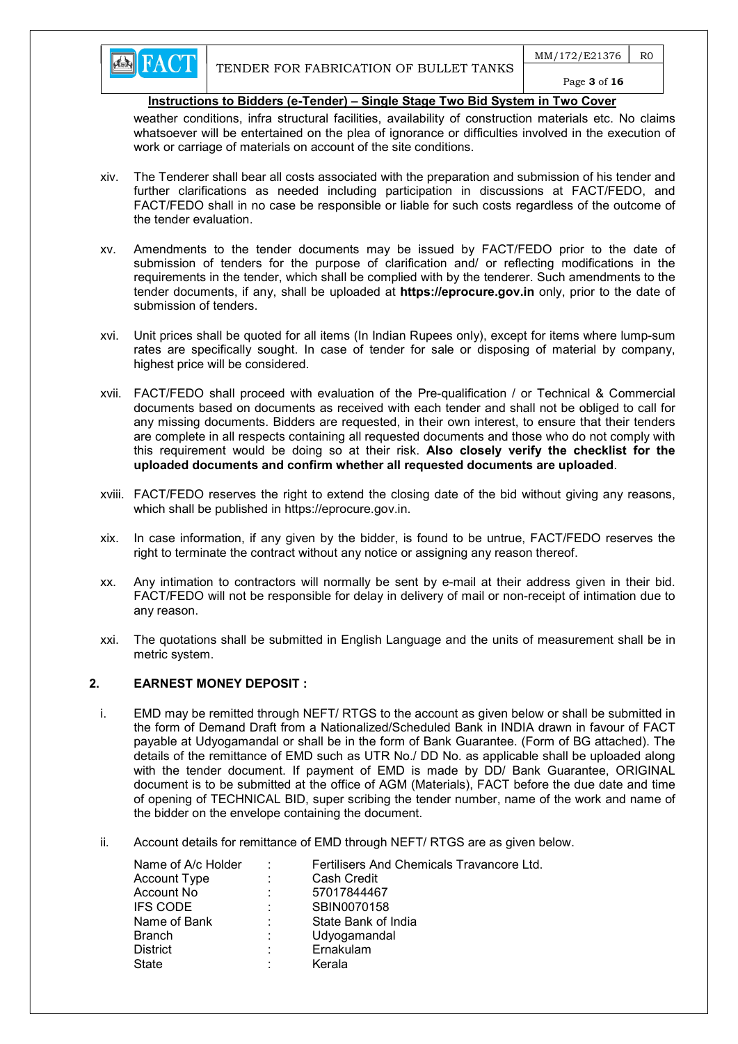weather conditions, infra structural facilities, availability of construction materials etc. No claims whatsoever will be entertained on the plea of ignorance or difficulties involved in the execution of work or carriage of materials on account of the site conditions.

- xiv. The Tenderer shall bear all costs associated with the preparation and submission of his tender and further clarifications as needed including participation in discussions at FACT/FEDO, and FACT/FEDO shall in no case be responsible or liable for such costs regardless of the outcome of the tender evaluation.
- xv. Amendments to the tender documents may be issued by FACT/FEDO prior to the date of submission of tenders for the purpose of clarification and/ or reflecting modifications in the requirements in the tender, which shall be complied with by the tenderer. Such amendments to the tender documents, if any, shall be uploaded at https://eprocure.gov.in only, prior to the date of submission of tenders.
- xvi. Unit prices shall be quoted for all items (In Indian Rupees only), except for items where lump-sum rates are specifically sought. In case of tender for sale or disposing of material by company, highest price will be considered.
- xvii. FACT/FEDO shall proceed with evaluation of the Pre-qualification / or Technical & Commercial documents based on documents as received with each tender and shall not be obliged to call for any missing documents. Bidders are requested, in their own interest, to ensure that their tenders are complete in all respects containing all requested documents and those who do not comply with this requirement would be doing so at their risk. Also closely verify the checklist for the uploaded documents and confirm whether all requested documents are uploaded.
- xviii. FACT/FEDO reserves the right to extend the closing date of the bid without giving any reasons, which shall be published in https://eprocure.gov.in.
- xix. In case information, if any given by the bidder, is found to be untrue, FACT/FEDO reserves the right to terminate the contract without any notice or assigning any reason thereof.
- xx. Any intimation to contractors will normally be sent by e-mail at their address given in their bid. FACT/FEDO will not be responsible for delay in delivery of mail or non-receipt of intimation due to any reason.
- xxi. The quotations shall be submitted in English Language and the units of measurement shall be in metric system.

# 2. EARNEST MONEY DEPOSIT :

- i. EMD may be remitted through NEFT/ RTGS to the account as given below or shall be submitted in the form of Demand Draft from a Nationalized/Scheduled Bank in INDIA drawn in favour of FACT payable at Udyogamandal or shall be in the form of Bank Guarantee. (Form of BG attached). The details of the remittance of EMD such as UTR No./ DD No. as applicable shall be uploaded along with the tender document. If payment of EMD is made by DD/ Bank Guarantee, ORIGINAL document is to be submitted at the office of AGM (Materials), FACT before the due date and time of opening of TECHNICAL BID, super scribing the tender number, name of the work and name of the bidder on the envelope containing the document.
- ii. Account details for remittance of EMD through NEFT/ RTGS are as given below.

| Name of A/c Holder |    | Fertilisers And Chemicals Travancore Ltd. |
|--------------------|----|-------------------------------------------|
| Account Type       | ÷  | Cash Credit                               |
| Account No         | ÷  | 57017844467                               |
| <b>IFS CODE</b>    | ÷  | SBIN0070158                               |
| Name of Bank       | ٠. | State Bank of India                       |
| <b>Branch</b>      | ÷  | Udyogamandal                              |
| <b>District</b>    | ÷  | Ernakulam                                 |
| State              |    | Kerala                                    |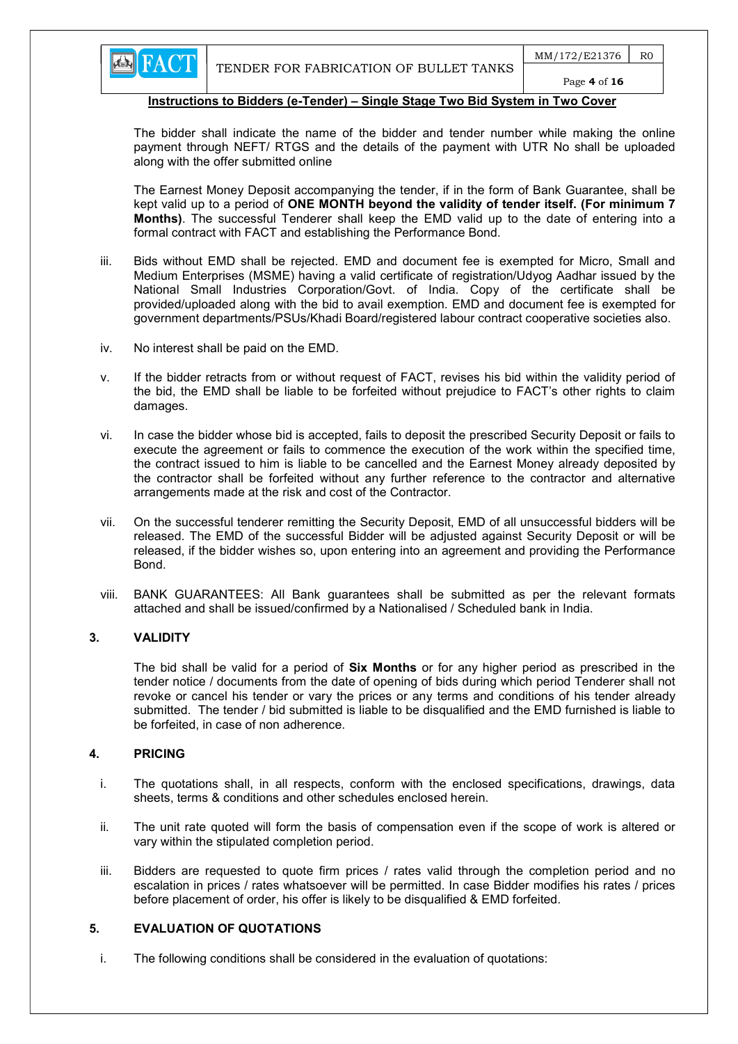

Page 4 of 16

# Instructions to Bidders (e-Tender) – Single Stage Two Bid System in Two Cover

The bidder shall indicate the name of the bidder and tender number while making the online payment through NEFT/ RTGS and the details of the payment with UTR No shall be uploaded along with the offer submitted online

The Earnest Money Deposit accompanying the tender, if in the form of Bank Guarantee, shall be kept valid up to a period of ONE MONTH beyond the validity of tender itself. (For minimum 7 Months). The successful Tenderer shall keep the EMD valid up to the date of entering into a formal contract with FACT and establishing the Performance Bond.

- iii. Bids without EMD shall be rejected. EMD and document fee is exempted for Micro, Small and Medium Enterprises (MSME) having a valid certificate of registration/Udyog Aadhar issued by the National Small Industries Corporation/Govt. of India. Copy of the certificate shall be provided/uploaded along with the bid to avail exemption. EMD and document fee is exempted for government departments/PSUs/Khadi Board/registered labour contract cooperative societies also.
- iv. No interest shall be paid on the EMD.
- v. If the bidder retracts from or without request of FACT, revises his bid within the validity period of the bid, the EMD shall be liable to be forfeited without prejudice to FACT's other rights to claim damages.
- vi. In case the bidder whose bid is accepted, fails to deposit the prescribed Security Deposit or fails to execute the agreement or fails to commence the execution of the work within the specified time, the contract issued to him is liable to be cancelled and the Earnest Money already deposited by the contractor shall be forfeited without any further reference to the contractor and alternative arrangements made at the risk and cost of the Contractor.
- vii. On the successful tenderer remitting the Security Deposit, EMD of all unsuccessful bidders will be released. The EMD of the successful Bidder will be adjusted against Security Deposit or will be released, if the bidder wishes so, upon entering into an agreement and providing the Performance Bond.
- viii. BANK GUARANTEES: All Bank guarantees shall be submitted as per the relevant formats attached and shall be issued/confirmed by a Nationalised / Scheduled bank in India.

# 3. VALIDITY

The bid shall be valid for a period of **Six Months** or for any higher period as prescribed in the tender notice / documents from the date of opening of bids during which period Tenderer shall not revoke or cancel his tender or vary the prices or any terms and conditions of his tender already submitted. The tender / bid submitted is liable to be disqualified and the EMD furnished is liable to be forfeited, in case of non adherence.

# 4. PRICING

- i. The quotations shall, in all respects, conform with the enclosed specifications, drawings, data sheets, terms & conditions and other schedules enclosed herein.
- ii. The unit rate quoted will form the basis of compensation even if the scope of work is altered or vary within the stipulated completion period.
- iii. Bidders are requested to quote firm prices / rates valid through the completion period and no escalation in prices / rates whatsoever will be permitted. In case Bidder modifies his rates / prices before placement of order, his offer is likely to be disqualified & EMD forfeited.

# 5. EVALUATION OF QUOTATIONS

i. The following conditions shall be considered in the evaluation of quotations: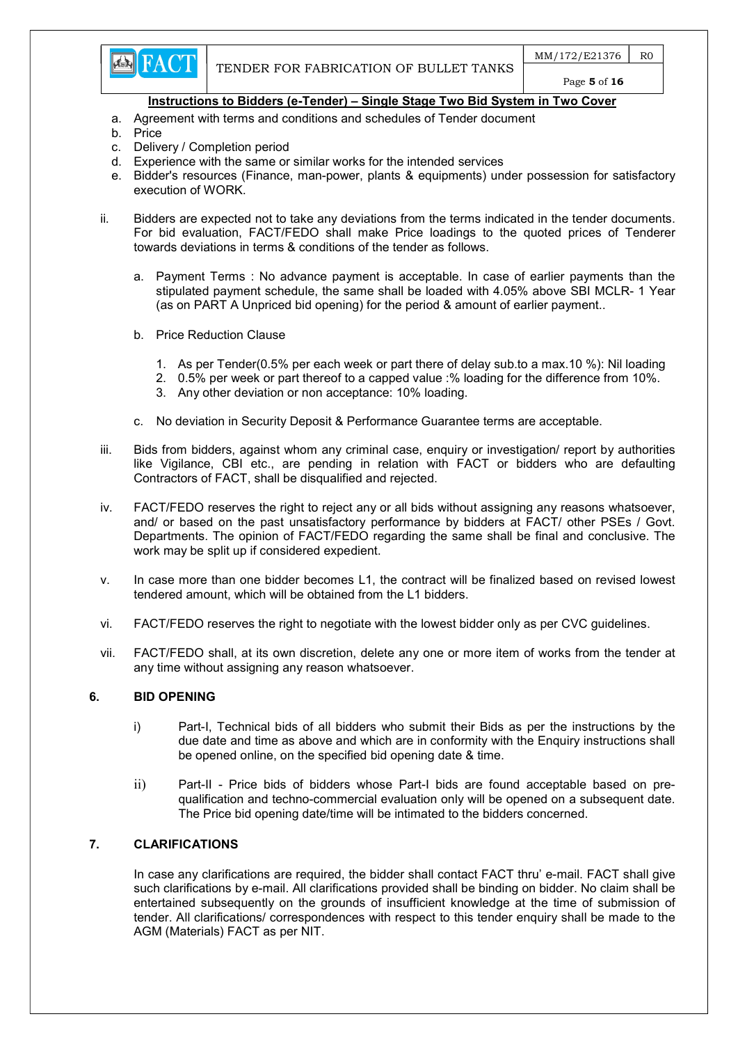

- a. Agreement with terms and conditions and schedules of Tender document
- b. Price
- c. Delivery / Completion period
- d. Experience with the same or similar works for the intended services
- e. Bidder's resources (Finance, man-power, plants & equipments) under possession for satisfactory execution of WORK.
- ii. Bidders are expected not to take any deviations from the terms indicated in the tender documents. For bid evaluation, FACT/FEDO shall make Price loadings to the quoted prices of Tenderer towards deviations in terms & conditions of the tender as follows.
	- a. Payment Terms : No advance payment is acceptable. In case of earlier payments than the stipulated payment schedule, the same shall be loaded with 4.05% above SBI MCLR- 1 Year (as on PART A Unpriced bid opening) for the period & amount of earlier payment..
	- b. Price Reduction Clause
		- 1. As per Tender(0.5% per each week or part there of delay sub.to a max.10 %): Nil loading
		- 2. 0.5% per week or part thereof to a capped value :% loading for the difference from 10%.
		- 3. Any other deviation or non acceptance: 10% loading.
	- c. No deviation in Security Deposit & Performance Guarantee terms are acceptable.
- iii. Bids from bidders, against whom any criminal case, enquiry or investigation/ report by authorities like Vigilance, CBI etc., are pending in relation with FACT or bidders who are defaulting Contractors of FACT, shall be disqualified and rejected.
- iv. FACT/FEDO reserves the right to reject any or all bids without assigning any reasons whatsoever, and/ or based on the past unsatisfactory performance by bidders at FACT/ other PSEs / Govt. Departments. The opinion of FACT/FEDO regarding the same shall be final and conclusive. The work may be split up if considered expedient.
- v. In case more than one bidder becomes L1, the contract will be finalized based on revised lowest tendered amount, which will be obtained from the L1 bidders.
- vi. FACT/FEDO reserves the right to negotiate with the lowest bidder only as per CVC guidelines.
- vii. FACT/FEDO shall, at its own discretion, delete any one or more item of works from the tender at any time without assigning any reason whatsoever.

# 6. BID OPENING

- i) Part-I, Technical bids of all bidders who submit their Bids as per the instructions by the due date and time as above and which are in conformity with the Enquiry instructions shall be opened online, on the specified bid opening date & time.
- ii) Part-II Price bids of bidders whose Part-I bids are found acceptable based on prequalification and techno-commercial evaluation only will be opened on a subsequent date. The Price bid opening date/time will be intimated to the bidders concerned.

# 7. CLARIFICATIONS

In case any clarifications are required, the bidder shall contact FACT thru' e-mail. FACT shall give such clarifications by e-mail. All clarifications provided shall be binding on bidder. No claim shall be entertained subsequently on the grounds of insufficient knowledge at the time of submission of tender. All clarifications/ correspondences with respect to this tender enquiry shall be made to the AGM (Materials) FACT as per NIT.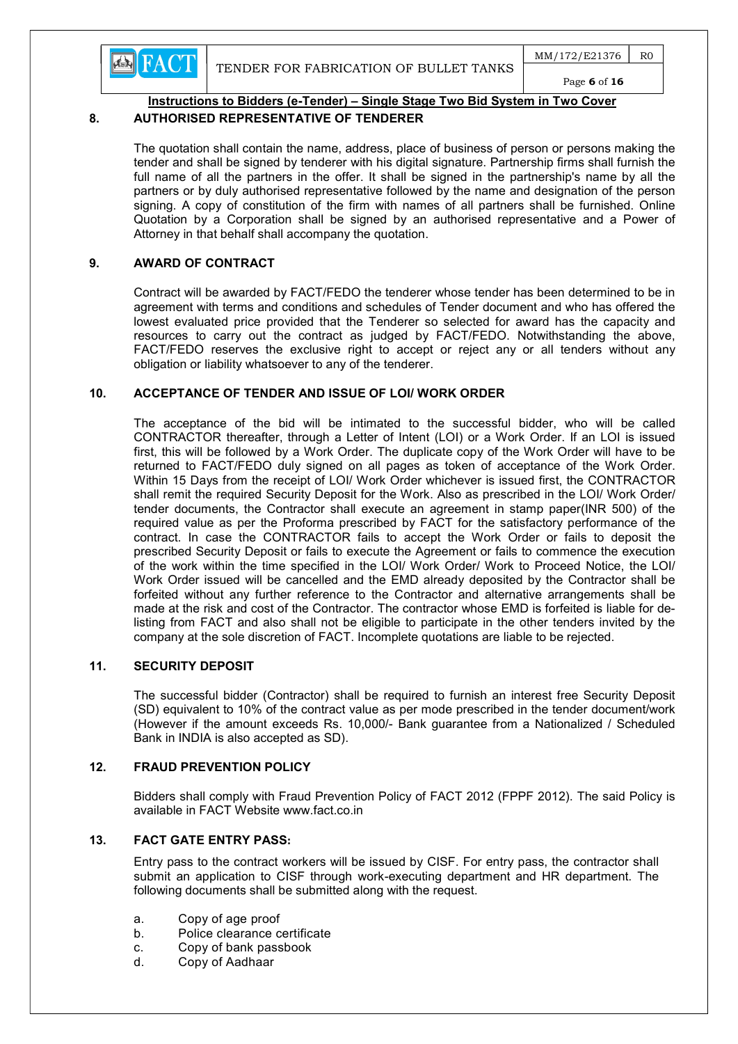

 $MM/172/E21376$  R0 Page 6 of 16



# Instructions to Bidders (e-Tender) – Single Stage Two Bid System in Two Cover

# 8. AUTHORISED REPRESENTATIVE OF TENDERER

The quotation shall contain the name, address, place of business of person or persons making the tender and shall be signed by tenderer with his digital signature. Partnership firms shall furnish the full name of all the partners in the offer. It shall be signed in the partnership's name by all the partners or by duly authorised representative followed by the name and designation of the person signing. A copy of constitution of the firm with names of all partners shall be furnished. Online Quotation by a Corporation shall be signed by an authorised representative and a Power of Attorney in that behalf shall accompany the quotation.

# 9. AWARD OF CONTRACT

Contract will be awarded by FACT/FEDO the tenderer whose tender has been determined to be in agreement with terms and conditions and schedules of Tender document and who has offered the lowest evaluated price provided that the Tenderer so selected for award has the capacity and resources to carry out the contract as judged by FACT/FEDO. Notwithstanding the above, FACT/FEDO reserves the exclusive right to accept or reject any or all tenders without any obligation or liability whatsoever to any of the tenderer.

# 10. ACCEPTANCE OF TENDER AND ISSUE OF LOI/ WORK ORDER

The acceptance of the bid will be intimated to the successful bidder, who will be called CONTRACTOR thereafter, through a Letter of Intent (LOI) or a Work Order. If an LOI is issued first, this will be followed by a Work Order. The duplicate copy of the Work Order will have to be returned to FACT/FEDO duly signed on all pages as token of acceptance of the Work Order. Within 15 Days from the receipt of LOI/ Work Order whichever is issued first, the CONTRACTOR shall remit the required Security Deposit for the Work. Also as prescribed in the LOI/ Work Order/ tender documents, the Contractor shall execute an agreement in stamp paper(INR 500) of the required value as per the Proforma prescribed by FACT for the satisfactory performance of the contract. In case the CONTRACTOR fails to accept the Work Order or fails to deposit the prescribed Security Deposit or fails to execute the Agreement or fails to commence the execution of the work within the time specified in the LOI/ Work Order/ Work to Proceed Notice, the LOI/ Work Order issued will be cancelled and the EMD already deposited by the Contractor shall be forfeited without any further reference to the Contractor and alternative arrangements shall be made at the risk and cost of the Contractor. The contractor whose EMD is forfeited is liable for delisting from FACT and also shall not be eligible to participate in the other tenders invited by the company at the sole discretion of FACT. Incomplete quotations are liable to be rejected.

# 11. SECURITY DEPOSIT

The successful bidder (Contractor) shall be required to furnish an interest free Security Deposit (SD) equivalent to 10% of the contract value as per mode prescribed in the tender document/work (However if the amount exceeds Rs. 10,000/- Bank guarantee from a Nationalized / Scheduled Bank in INDIA is also accepted as SD).

# 12. FRAUD PREVENTION POLICY

Bidders shall comply with Fraud Prevention Policy of FACT 2012 (FPPF 2012). The said Policy is available in FACT Website www.fact.co.in

# 13. FACT GATE ENTRY PASS:

Entry pass to the contract workers will be issued by CISF. For entry pass, the contractor shall submit an application to CISF through work-executing department and HR department. The following documents shall be submitted along with the request.

- a. Copy of age proof
- b. Police clearance certificate
- c. Copy of bank passbook
- d. Copy of Aadhaar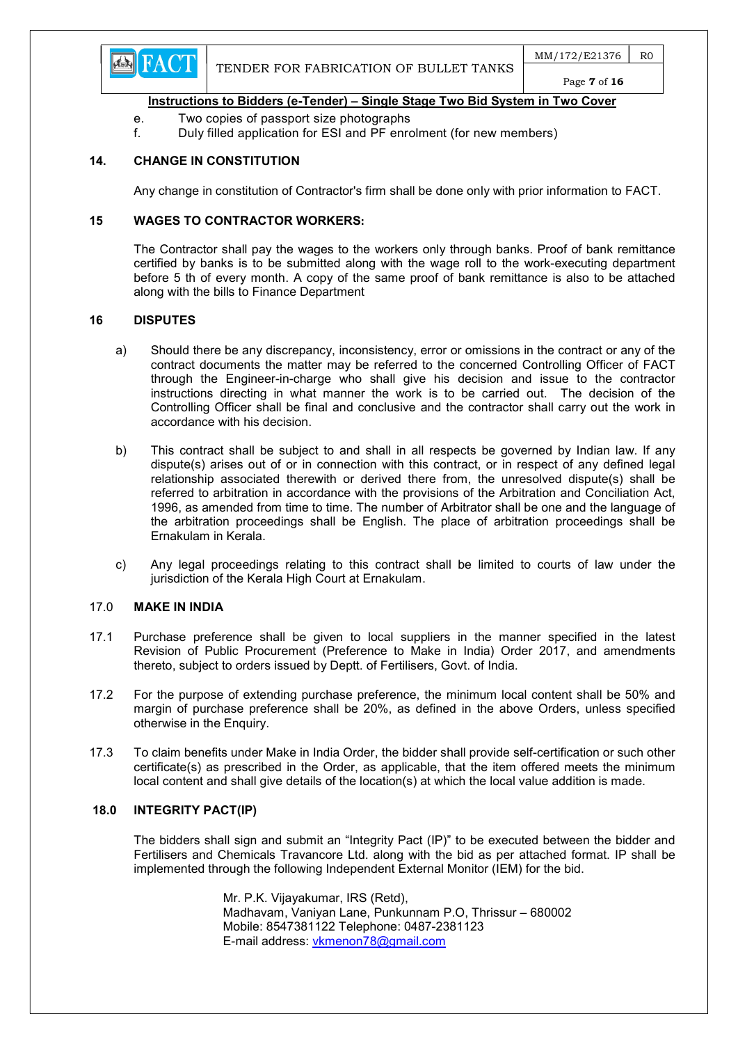

- e. Two copies of passport size photographs
- f. Duly filled application for ESI and PF enrolment (for new members)

# 14. CHANGE IN CONSTITUTION

Any change in constitution of Contractor's firm shall be done only with prior information to FACT.

#### 15 WAGES TO CONTRACTOR WORKERS:

The Contractor shall pay the wages to the workers only through banks. Proof of bank remittance certified by banks is to be submitted along with the wage roll to the work-executing department before 5 th of every month. A copy of the same proof of bank remittance is also to be attached along with the bills to Finance Department

#### 16 DISPUTES

- a) Should there be any discrepancy, inconsistency, error or omissions in the contract or any of the contract documents the matter may be referred to the concerned Controlling Officer of FACT through the Engineer-in-charge who shall give his decision and issue to the contractor instructions directing in what manner the work is to be carried out. The decision of the Controlling Officer shall be final and conclusive and the contractor shall carry out the work in accordance with his decision.
- b) This contract shall be subject to and shall in all respects be governed by Indian law. If any dispute(s) arises out of or in connection with this contract, or in respect of any defined legal relationship associated therewith or derived there from, the unresolved dispute(s) shall be referred to arbitration in accordance with the provisions of the Arbitration and Conciliation Act, 1996, as amended from time to time. The number of Arbitrator shall be one and the language of the arbitration proceedings shall be English. The place of arbitration proceedings shall be Ernakulam in Kerala.
- c) Any legal proceedings relating to this contract shall be limited to courts of law under the jurisdiction of the Kerala High Court at Ernakulam.

#### 17.0 MAKE IN INDIA

- 17.1 Purchase preference shall be given to local suppliers in the manner specified in the latest Revision of Public Procurement (Preference to Make in India) Order 2017, and amendments thereto, subject to orders issued by Deptt. of Fertilisers, Govt. of India.
- 17.2 For the purpose of extending purchase preference, the minimum local content shall be 50% and margin of purchase preference shall be 20%, as defined in the above Orders, unless specified otherwise in the Enquiry.
- 17.3 To claim benefits under Make in India Order, the bidder shall provide self-certification or such other certificate(s) as prescribed in the Order, as applicable, that the item offered meets the minimum local content and shall give details of the location(s) at which the local value addition is made.

#### 18.0 INTEGRITY PACT(IP)

The bidders shall sign and submit an "Integrity Pact (IP)" to be executed between the bidder and Fertilisers and Chemicals Travancore Ltd. along with the bid as per attached format. IP shall be implemented through the following Independent External Monitor (IEM) for the bid.

> Mr. P.K. Vijayakumar, IRS (Retd), Madhavam, Vaniyan Lane, Punkunnam P.O, Thrissur – 680002 Mobile: 8547381122 Telephone: 0487-2381123 E-mail address: vkmenon78@gmail.com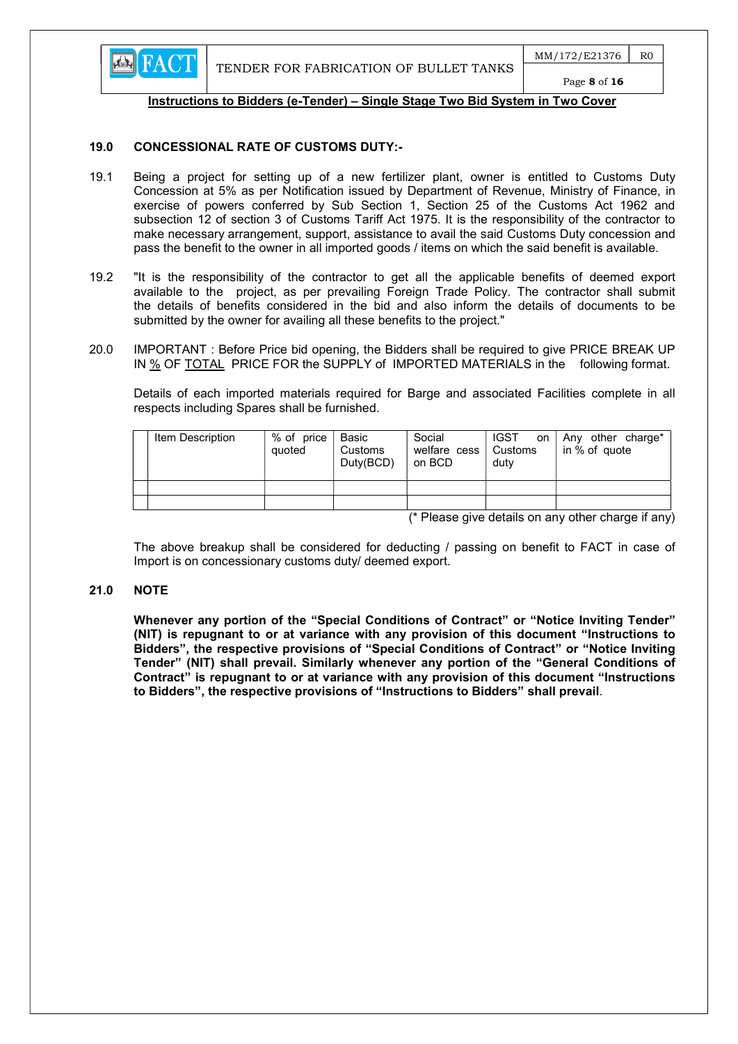

#### 19.0 CONCESSIONAL RATE OF CUSTOMS DUTY:-

- 19.1 Being a project for setting up of a new fertilizer plant, owner is entitled to Customs Duty Concession at 5% as per Notification issued by Department of Revenue, Ministry of Finance, in exercise of powers conferred by Sub Section 1, Section 25 of the Customs Act 1962 and subsection 12 of section 3 of Customs Tariff Act 1975. It is the responsibility of the contractor to make necessary arrangement, support, assistance to avail the said Customs Duty concession and pass the benefit to the owner in all imported goods / items on which the said benefit is available.
- 19.2 "It is the responsibility of the contractor to get all the applicable benefits of deemed export available to the project, as per prevailing Foreign Trade Policy. The contractor shall submit the details of benefits considered in the bid and also inform the details of documents to be submitted by the owner for availing all these benefits to the project."
- 20.0 IMPORTANT : Before Price bid opening, the Bidders shall be required to give PRICE BREAK UP IN % OF TOTAL PRICE FOR the SUPPLY of IMPORTED MATERIALS in the following format.

 Details of each imported materials required for Barge and associated Facilities complete in all respects including Spares shall be furnished.

| Item Description | % of price<br>quoted | Basic<br>Customs<br>Duty(BCD) | Social<br>welfare cess   Customs<br>on BCD | <b>IGST</b><br>on<br>duty | Any other charge*<br>in % of quote |
|------------------|----------------------|-------------------------------|--------------------------------------------|---------------------------|------------------------------------|

(\* Please give details on any other charge if any)

 The above breakup shall be considered for deducting / passing on benefit to FACT in case of Import is on concessionary customs duty/ deemed export.

#### 21.0 NOTE

Whenever any portion of the "Special Conditions of Contract" or "Notice Inviting Tender" (NIT) is repugnant to or at variance with any provision of this document "Instructions to Bidders", the respective provisions of "Special Conditions of Contract" or "Notice Inviting Tender" (NIT) shall prevail. Similarly whenever any portion of the "General Conditions of Contract" is repugnant to or at variance with any provision of this document "Instructions to Bidders", the respective provisions of "Instructions to Bidders" shall prevail.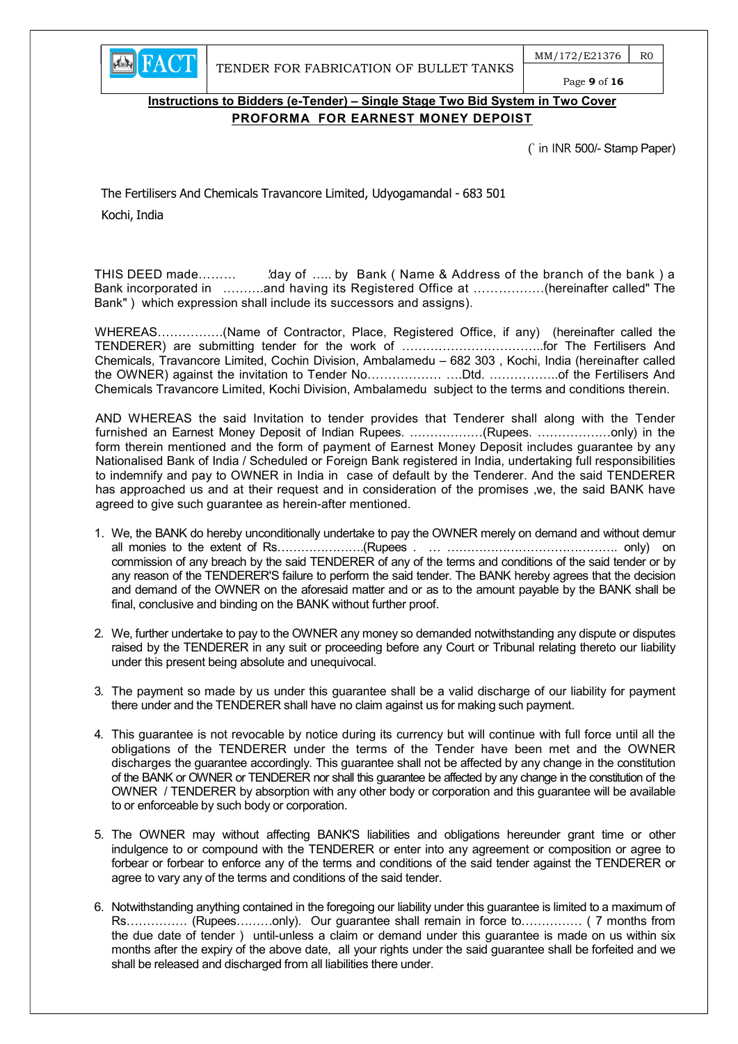$MM/172/E21376$  RO Page 9 of 16

# Instructions to Bidders (e-Tender) – Single Stage Two Bid System in Two Cover PROFORMA FOR EARNEST MONEY DEPOIST

(` in INR 500/- Stamp Paper)

The Fertilisers And Chemicals Travancore Limited, Udyogamandal - 683 501 Kochi, India

**EN FACT** 

THIS DEED made……… 'day of ….. by Bank (Name & Address of the branch of the bank) a Bank incorporated in ……….and having its Registered Office at ………….….(hereinafter called" The Bank" ) which expression shall include its successors and assigns).

WHEREAS…………….(Name of Contractor, Place, Registered Office, if any) (hereinafter called the TENDERER) are submitting tender for the work of ……………………………..for The Fertilisers And Chemicals, Travancore Limited, Cochin Division, Ambalamedu – 682 303 , Kochi, India (hereinafter called the OWNER) against the invitation to Tender No……………… ….Dtd. ……………..of the Fertilisers And Chemicals Travancore Limited, Kochi Division, Ambalamedu subject to the terms and conditions therein.

AND WHEREAS the said Invitation to tender provides that Tenderer shall along with the Tender furnished an Earnest Money Deposit of Indian Rupees. ………………(Rupees. ………………only) in the form therein mentioned and the form of payment of Earnest Money Deposit includes guarantee by any Nationalised Bank of India / Scheduled or Foreign Bank registered in India, undertaking full responsibilities to indemnify and pay to OWNER in India in case of default by the Tenderer. And the said TENDERER has approached us and at their request and in consideration of the promises ,we, the said BANK have agreed to give such guarantee as herein-after mentioned.

- 1. We, the BANK do hereby unconditionally undertake to pay the OWNER merely on demand and without demur all monies to the extent of Rs………………….(Rupees . … ……………………………………. only) on commission of any breach by the said TENDERER of any of the terms and conditions of the said tender or by any reason of the TENDERER'S failure to perform the said tender. The BANK hereby agrees that the decision and demand of the OWNER on the aforesaid matter and or as to the amount payable by the BANK shall be final, conclusive and binding on the BANK without further proof.
- 2. We, further undertake to pay to the OWNER any money so demanded notwithstanding any dispute or disputes raised by the TENDERER in any suit or proceeding before any Court or Tribunal relating thereto our liability under this present being absolute and unequivocal.
- 3. The payment so made by us under this guarantee shall be a valid discharge of our liability for payment there under and the TENDERER shall have no claim against us for making such payment.
- 4. This guarantee is not revocable by notice during its currency but will continue with full force until all the obligations of the TENDERER under the terms of the Tender have been met and the OWNER discharges the guarantee accordingly. This guarantee shall not be affected by any change in the constitution of the BANK or OWNER or TENDERER nor shall this guarantee be affected by any change in the constitution of the OWNER / TENDERER by absorption with any other body or corporation and this guarantee will be available to or enforceable by such body or corporation.
- 5. The OWNER may without affecting BANK'S liabilities and obligations hereunder grant time or other indulgence to or compound with the TENDERER or enter into any agreement or composition or agree to forbear or forbear to enforce any of the terms and conditions of the said tender against the TENDERER or agree to vary any of the terms and conditions of the said tender.
- 6. Notwithstanding anything contained in the foregoing our liability under this guarantee is limited to a maximum of Rs…………… (Rupees………only). Our guarantee shall remain in force to…………… ( 7 months from the due date of tender ) until-unless a claim or demand under this guarantee is made on us within six months after the expiry of the above date, all your rights under the said guarantee shall be forfeited and we shall be released and discharged from all liabilities there under.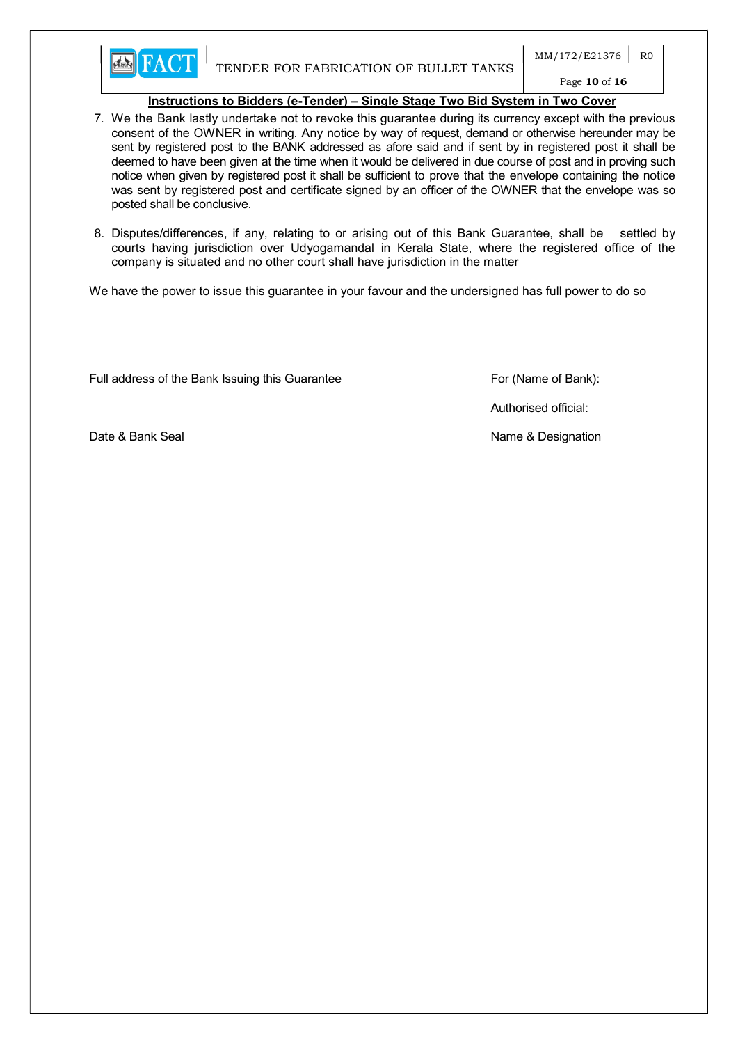

 $MM/172/E21376$  R0

# Page 10 of 16

# Instructions to Bidders (e-Tender) – Single Stage Two Bid System in Two Cover

- 7. We the Bank lastly undertake not to revoke this guarantee during its currency except with the previous consent of the OWNER in writing. Any notice by way of request, demand or otherwise hereunder may be sent by registered post to the BANK addressed as afore said and if sent by in registered post it shall be deemed to have been given at the time when it would be delivered in due course of post and in proving such notice when given by registered post it shall be sufficient to prove that the envelope containing the notice was sent by registered post and certificate signed by an officer of the OWNER that the envelope was so posted shall be conclusive.
- 8. Disputes/differences, if any, relating to or arising out of this Bank Guarantee, shall be settled by courts having jurisdiction over Udyogamandal in Kerala State, where the registered office of the company is situated and no other court shall have jurisdiction in the matter

We have the power to issue this guarantee in your favour and the undersigned has full power to do so

Full address of the Bank Issuing this Guarantee For (Name of Bank):

Authorised official:

Date & Bank Seal Name & Designation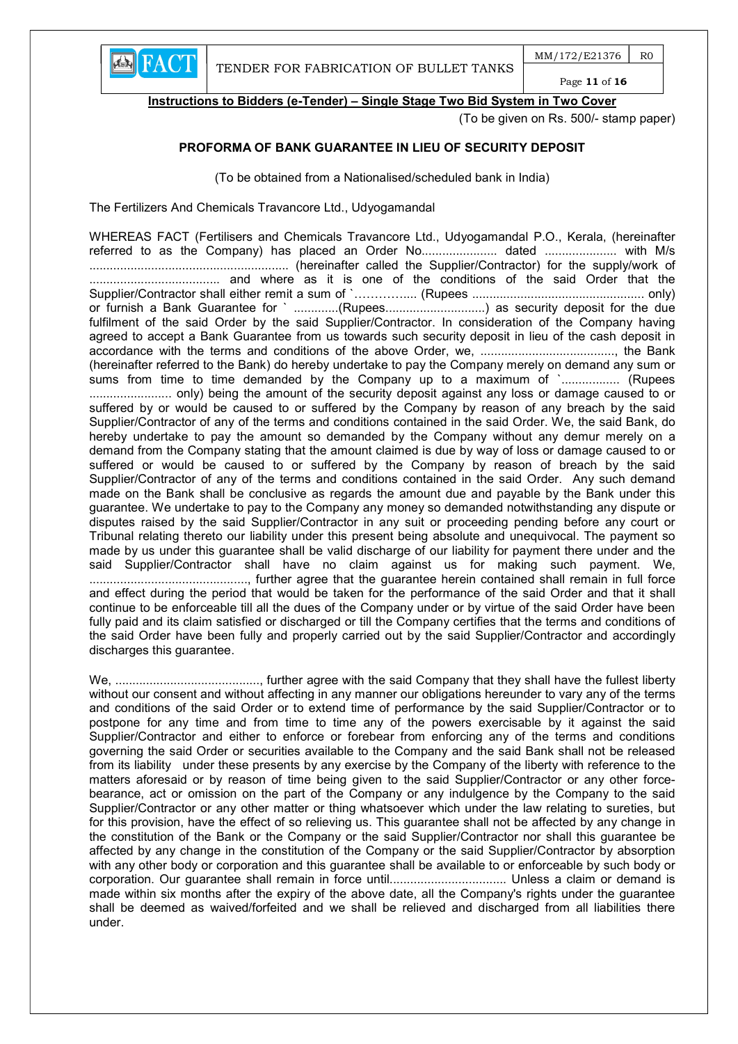

Instructions to Bidders (e-Tender) – Single Stage Two Bid System in Two Cover

(To be given on Rs. 500/- stamp paper)

# PROFORMA OF BANK GUARANTEE IN LIEU OF SECURITY DEPOSIT

(To be obtained from a Nationalised/scheduled bank in India)

The Fertilizers And Chemicals Travancore Ltd., Udyogamandal

WHEREAS FACT (Fertilisers and Chemicals Travancore Ltd., Udyogamandal P.O., Kerala, (hereinafter referred to as the Company) has placed an Order No......................... dated ........................... with M/s .......................................................... (hereinafter called the Supplier/Contractor) for the supply/work of ...................................... and where as it is one of the conditions of the said Order that the Supplier/Contractor shall either remit a sum of `………….... (Rupees .................................................. only) or furnish a Bank Guarantee for ` ..............(Rupees................................) as security deposit for the due fulfilment of the said Order by the said Supplier/Contractor. In consideration of the Company having agreed to accept a Bank Guarantee from us towards such security deposit in lieu of the cash deposit in accordance with the terms and conditions of the above Order, we, ......................................., the Bank (hereinafter referred to the Bank) do hereby undertake to pay the Company merely on demand any sum or sums from time to time demanded by the Company up to a maximum of `................. (Rupees ........................ only) being the amount of the security deposit against any loss or damage caused to or suffered by or would be caused to or suffered by the Company by reason of any breach by the said Supplier/Contractor of any of the terms and conditions contained in the said Order. We, the said Bank, do hereby undertake to pay the amount so demanded by the Company without any demur merely on a demand from the Company stating that the amount claimed is due by way of loss or damage caused to or suffered or would be caused to or suffered by the Company by reason of breach by the said Supplier/Contractor of any of the terms and conditions contained in the said Order. Any such demand made on the Bank shall be conclusive as regards the amount due and payable by the Bank under this guarantee. We undertake to pay to the Company any money so demanded notwithstanding any dispute or disputes raised by the said Supplier/Contractor in any suit or proceeding pending before any court or Tribunal relating thereto our liability under this present being absolute and unequivocal. The payment so made by us under this guarantee shall be valid discharge of our liability for payment there under and the said Supplier/Contractor shall have no claim against us for making such payment. We, .............................................., further agree that the guarantee herein contained shall remain in full force and effect during the period that would be taken for the performance of the said Order and that it shall continue to be enforceable till all the dues of the Company under or by virtue of the said Order have been fully paid and its claim satisfied or discharged or till the Company certifies that the terms and conditions of the said Order have been fully and properly carried out by the said Supplier/Contractor and accordingly discharges this guarantee.

We, .........................................., further agree with the said Company that they shall have the fullest liberty without our consent and without affecting in any manner our obligations hereunder to vary any of the terms and conditions of the said Order or to extend time of performance by the said Supplier/Contractor or to postpone for any time and from time to time any of the powers exercisable by it against the said Supplier/Contractor and either to enforce or forebear from enforcing any of the terms and conditions governing the said Order or securities available to the Company and the said Bank shall not be released from its liability under these presents by any exercise by the Company of the liberty with reference to the matters aforesaid or by reason of time being given to the said Supplier/Contractor or any other forcebearance, act or omission on the part of the Company or any indulgence by the Company to the said Supplier/Contractor or any other matter or thing whatsoever which under the law relating to sureties, but for this provision, have the effect of so relieving us. This guarantee shall not be affected by any change in the constitution of the Bank or the Company or the said Supplier/Contractor nor shall this guarantee be affected by any change in the constitution of the Company or the said Supplier/Contractor by absorption with any other body or corporation and this guarantee shall be available to or enforceable by such body or corporation. Our guarantee shall remain in force until.................................. Unless a claim or demand is made within six months after the expiry of the above date, all the Company's rights under the guarantee shall be deemed as waived/forfeited and we shall be relieved and discharged from all liabilities there under.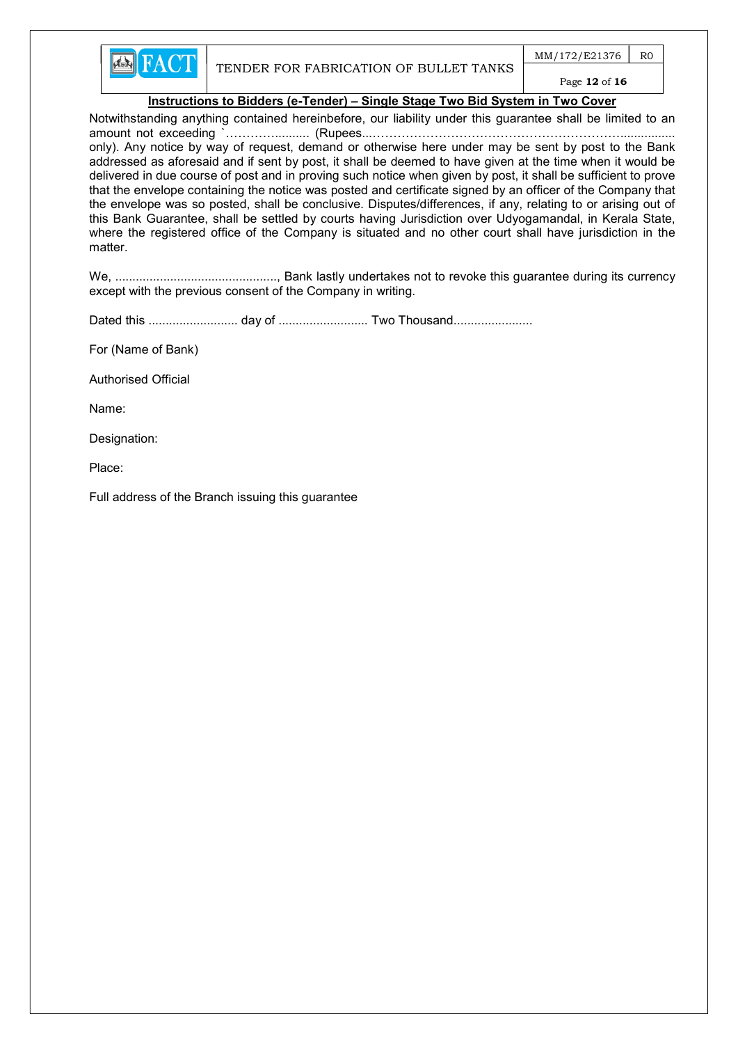

 $MM/172/E21376$  RO

# Page 12 of 16

#### Instructions to Bidders (e-Tender) – Single Stage Two Bid System in Two Cover

Notwithstanding anything contained hereinbefore, our liability under this guarantee shall be limited to an amount not exceeding `………….......... (Rupees...……………………………………………………................ only). Any notice by way of request, demand or otherwise here under may be sent by post to the Bank addressed as aforesaid and if sent by post, it shall be deemed to have given at the time when it would be delivered in due course of post and in proving such notice when given by post, it shall be sufficient to prove that the envelope containing the notice was posted and certificate signed by an officer of the Company that the envelope was so posted, shall be conclusive. Disputes/differences, if any, relating to or arising out of this Bank Guarantee, shall be settled by courts having Jurisdiction over Udyogamandal, in Kerala State, where the registered office of the Company is situated and no other court shall have jurisdiction in the matter.

We, ..............................................., Bank lastly undertakes not to revoke this guarantee during its currency except with the previous consent of the Company in writing.

Dated this .......................... day of .......................... Two Thousand.......................

For (Name of Bank)

Authorised Official

Name:

Designation:

Place:

Full address of the Branch issuing this guarantee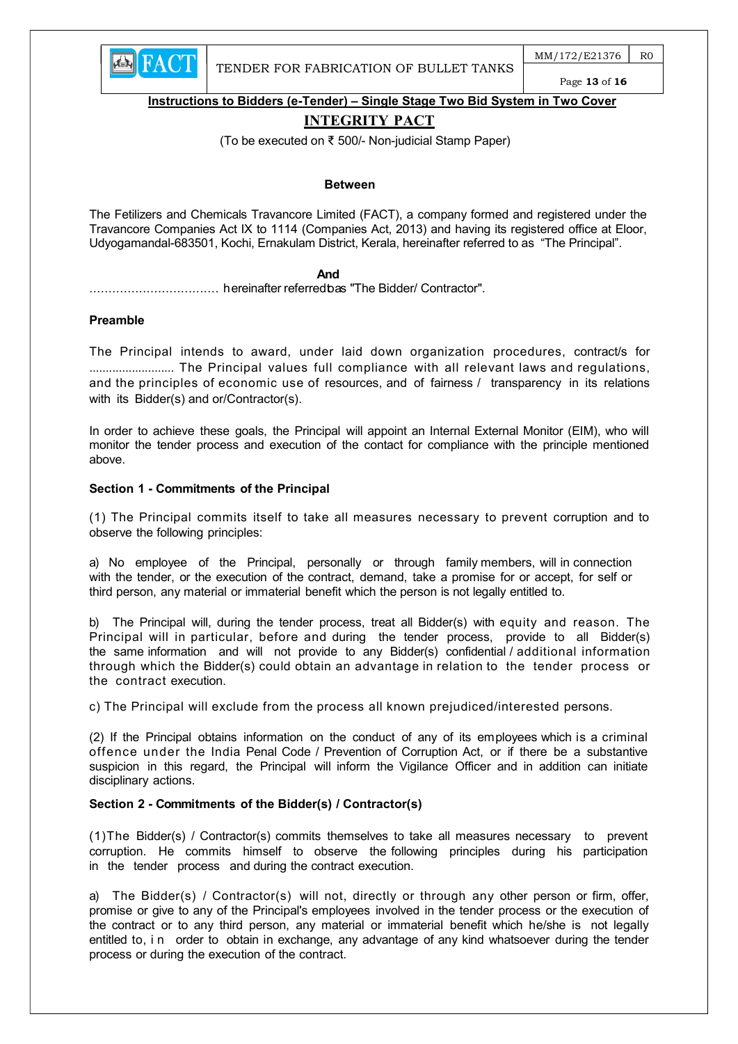

 $MM/172/E21376$  RO Page 13 of 16

Instructions to Bidders (e-Tender) – Single Stage Two Bid System in Two Cover

# INTEGRITY PACT

(To be executed on ₹ 500/- Non-judicial Stamp Paper)

#### Between

The Fetilizers and Chemicals Travancore Limited (FACT), a company formed and registered under the Travancore Companies Act IX to 1114 (Companies Act, 2013) and having its registered office at Eloor, Udyogamandal-683501, Kochi, Ernakulam District, Kerala, hereinafter referred to as "The Principal".

#### **And And And And** *And And*

.................................. hereinafter referred to as "The Bidder/ Contractor".

#### Preamble

The Principal intends to award, under laid down organization procedures, contract/s for .......................... The Principal values full compliance with all relevant laws and regulations, and the principles of economic use of resources, and of fairness / transparency in its relations with its Bidder(s) and or/Contractor(s).

In order to achieve these goals, the Principal will appoint an Internal External Monitor (EIM), who will monitor the tender process and execution of the contact for compliance with the principle mentioned above.

#### Section 1 - Commitments of the Principal

(1) The Principal commits itself to take all measures necessary to prevent corruption and to observe the following principles:

a) No employee of the Principal, personally or through family members, will in connection with the tender, or the execution of the contract, demand, take a promise for or accept, for self or third person, any material or immaterial benefit which the person is not legally entitled to.

b) The Principal will, during the tender process, treat all Bidder(s) with equity and reason. The Principal will in particular, before and during the tender process, provide to all Bidder(s) the same information and will not provide to any Bidder(s) confidential / additional information through which the Bidder(s) could obtain an advantage in relation to the tender process or the contract execution.

c) The Principal will exclude from the process all known prejudiced/interested persons.

(2) If the Principal obtains information on the conduct of any of its employees which is a criminal offence under the India Penal Code / Prevention of Corruption Act, or if there be a substantive suspicion in this regard, the Principal will inform the Vigilance Officer and in addition can initiate disciplinary actions.

# Section 2 - Commitments of the Bidder(s) / Contractor(s)

(1)The Bidder(s) / Contractor(s) commits themselves to take all measures necessary to prevent corruption. He commits himself to observe the following principles during his participation in the tender process and during the contract execution.

a) The Bidder(s) / Contractor(s) will not, directly or through any other person or firm, offer, promise or give to any of the Principal's employees involved in the tender process or the execution of the contract or to any third person, any material or immaterial benefit which he/she is not legally entitled to, i n order to obtain in exchange, any advantage of any kind whatsoever during the tender process or during the execution of the contract.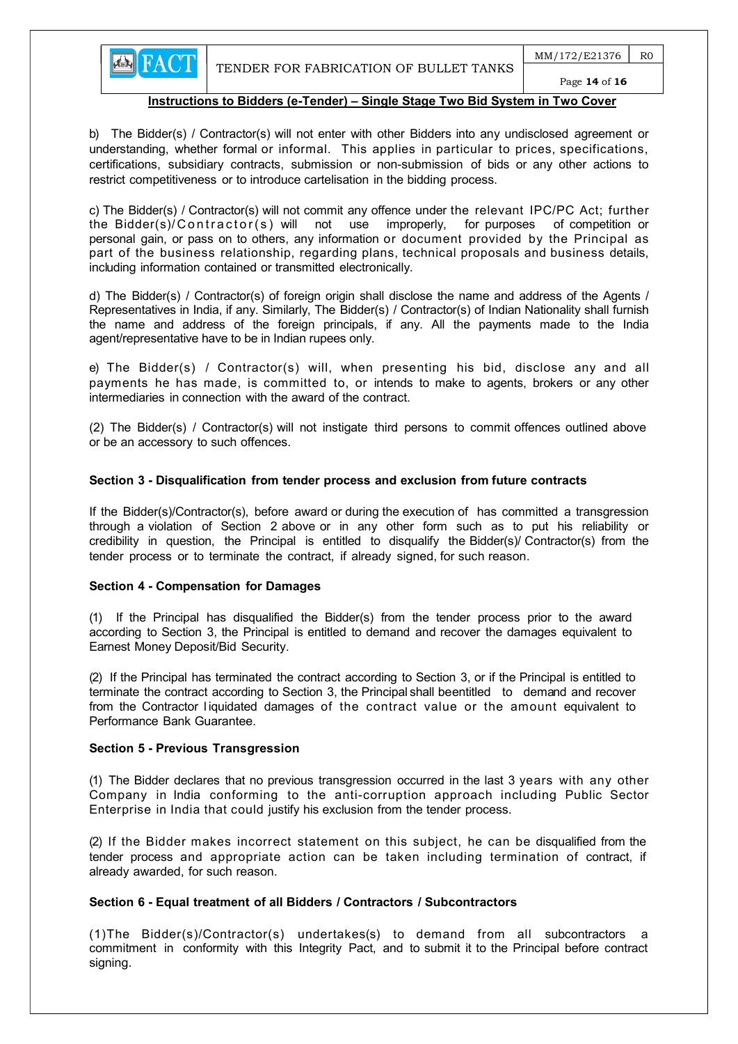

Page 14 of 16

# Instructions to Bidders (e-Tender) – Single Stage Two Bid System in Two Cover

b) The Bidder(s) / Contractor(s) will not enter with other Bidders into any undisclosed agreement or understanding, whether formal or informal. This applies in particular to prices, specifications, certifications, subsidiary contracts, submission or non-submission of bids or any other actions to restrict competitiveness or to introduce cartelisation in the bidding process.

c) The Bidder(s) / Contractor(s) will not commit any offence under the relevant IPC/PC Act; further the Bidder(s)/Contractor(s) will not use improperly, for purposes of competition or personal gain, or pass on to others, any information or document provided by the Principal as part of the business relationship, regarding plans, technical proposals and business details, including information contained or transmitted electronically.

d) The Bidder(s) / Contractor(s) of foreign origin shall disclose the name and address of the Agents / Representatives in India, if any. Similarly, The Bidder(s) / Contractor(s) of Indian Nationality shall furnish the name and address of the foreign principals, if any. All the payments made to the India agent/representative have to be in Indian rupees only.

e) The Bidder(s) / Contractor(s) will, when presenting his bid, disclose any and all payments he has made, is committed to, or intends to make to agents, brokers or any other intermediaries in connection with the award of the contract.

(2) The Bidder(s) / Contractor(s) will not instigate third persons to commit offences outlined above or be an accessory to such offences.

#### Section 3 - Disqualification from tender process and exclusion from future contracts

If the Bidder(s)/Contractor(s), before award or during the execution of has committed a transgression through a violation of Section 2 above or in any other form such as to put his reliability or credibility in question, the Principal is entitled to disqualify the Bidder(s)/ Contractor(s) from the tender process or to terminate the contract, if already signed, for such reason.

#### Section 4 - Compensation for Damages

(1) If the Principal has disqualified the Bidder(s) from the tender process prior to the award according to Section 3, the Principal is entitled to demand and recover the damages equivalent to Earnest Money Deposit/Bid Security.

(2) If the Principal has terminated the contract according to Section 3, or if the Principal is entitled to terminate the contract according to Section 3, the Principal shall be entitled to demand and recover from the Contractor l iquidated damages of the contract value or the amount equivalent to Performance Bank Guarantee.

#### Section 5 - Previous Transgression

(1) The Bidder declares that no previous transgression occurred in the last 3 years with any other Company in India conforming to the anti-corruption approach including Public Sector Enterprise in India that could justify his exclusion from the tender process.

(2) If the Bidder makes incorrect statement on this subject, he can be disqualified from the tender process and appropriate action can be taken including termination of contract, if already awarded, for such reason.

# Section 6 - Equal treatment of all Bidders / Contractors / Subcontractors

(1)The Bidder(s)/Contractor(s) undertakes(s) to demand from all subcontractors a commitment in conformity with this Integrity Pact, and to submit it to the Principal before contract signing.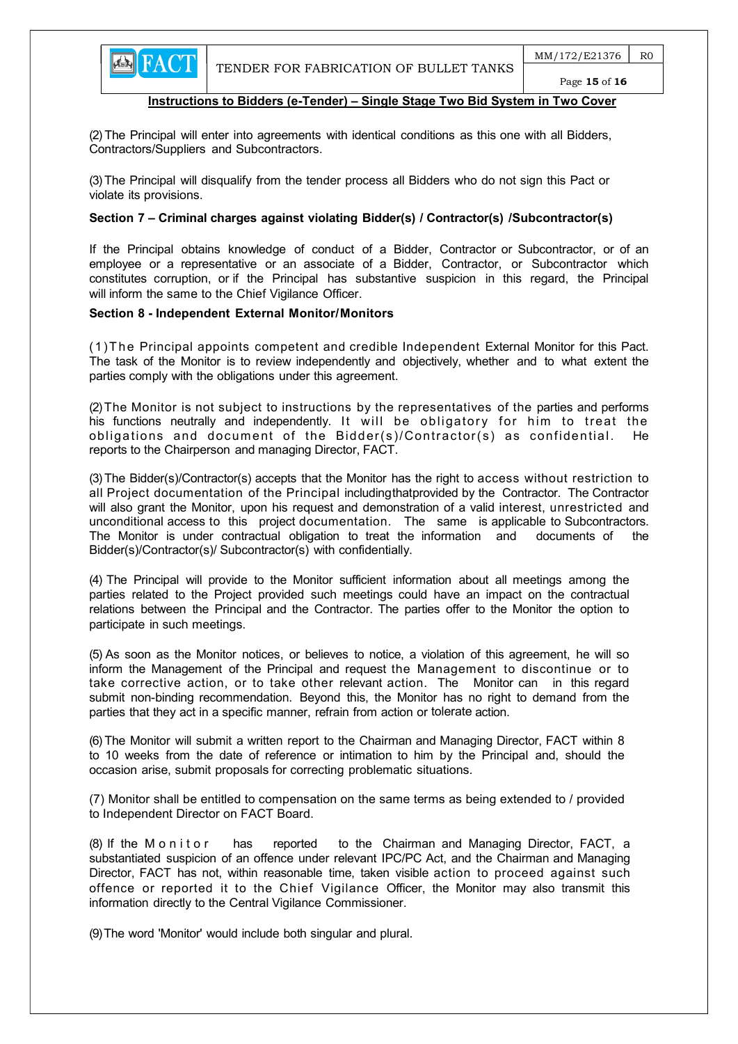

(2) The Principal will enter into agreements with identical conditions as this one with all Bidders, Contractors/Suppliers and Subcontractors.

(3) The Principal will disqualify from the tender process all Bidders who do not sign this Pact or violate its provisions.

#### Section 7 – Criminal charges against violating Bidder(s) / Contractor(s) / Subcontractor(s)

If the Principal obtains knowledge of conduct of a Bidder, Contractor or Subcontractor, or of an employee or a representative or an associate of a Bidder, Contractor, or Subcontractor which constitutes corruption, or if the Principal has substantive suspicion in this regard, the Principal will inform the same to the Chief Vigilance Officer.

#### Section 8 - Independent External Monitor/Monitors

(1)T he Principal appoints competent and credible Independent External Monitor for this Pact. The task of the Monitor is to review independently and objectively, whether and to what extent the parties comply with the obligations under this agreement.

(2) The Monitor is not subject to instructions by the representatives of the parties and performs his functions neutrally and independently. It will be obligatory for him to treat the obligations and document of the Bidder(s)/Contractor(s) as confidential. He reports to the Chairperson and managing Director, FACT.

(3) The Bidder(s)/Contractor(s) accepts that the Monitor has the right to access without restriction to all Project documentation of the Principal including that provided by the Contractor. The Contractor will also grant the Monitor, upon his request and demonstration of a valid interest, unrestricted and unconditional access to this project documentation. The same is applicable to Subcontractors. The Monitor is under contractual obligation to treat the information and documents of the Bidder(s)/Contractor(s)/ Subcontractor(s) with confidentially.

(4) The Principal will provide to the Monitor sufficient information about all meetings among the parties related to the Project provided such meetings could have an impact on the contractual relations between the Principal and the Contractor. The parties offer to the Monitor the option to participate in such meetings.

(5) As soon as the Monitor notices, or believes to notice, a violation of this agreement, he will so inform the Management of the Principal and request the Management to discontinue or to take corrective action, or to take other relevant action. The Monitor can in this regard submit non-binding recommendation. Beyond this, the Monitor has no right to demand from the parties that they act in a specific manner, refrain from action or tolerate action.

(6) The Monitor will submit a written report to the Chairman and Managing Director, FACT within 8 to 10 weeks from the date of reference or intimation to him by the Principal and, should the occasion arise, submit proposals for correcting problematic situations.

 (7) Monitor shall be entitled to compensation on the same terms as being extended to / provided to Independent Director on FACT Board.

(8) If the M on it or has reported to the Chairman and Managing Director, FACT, a substantiated suspicion of an offence under relevant IPC/PC Act, and the Chairman and Managing Director, FACT has not, within reasonable time, taken visible action to proceed against such offence or reported it to the Chief Vigilance Officer, the Monitor may also transmit this information directly to the Central Vigilance Commissioner.

(9) The word 'Monitor' would include both singular and plural.